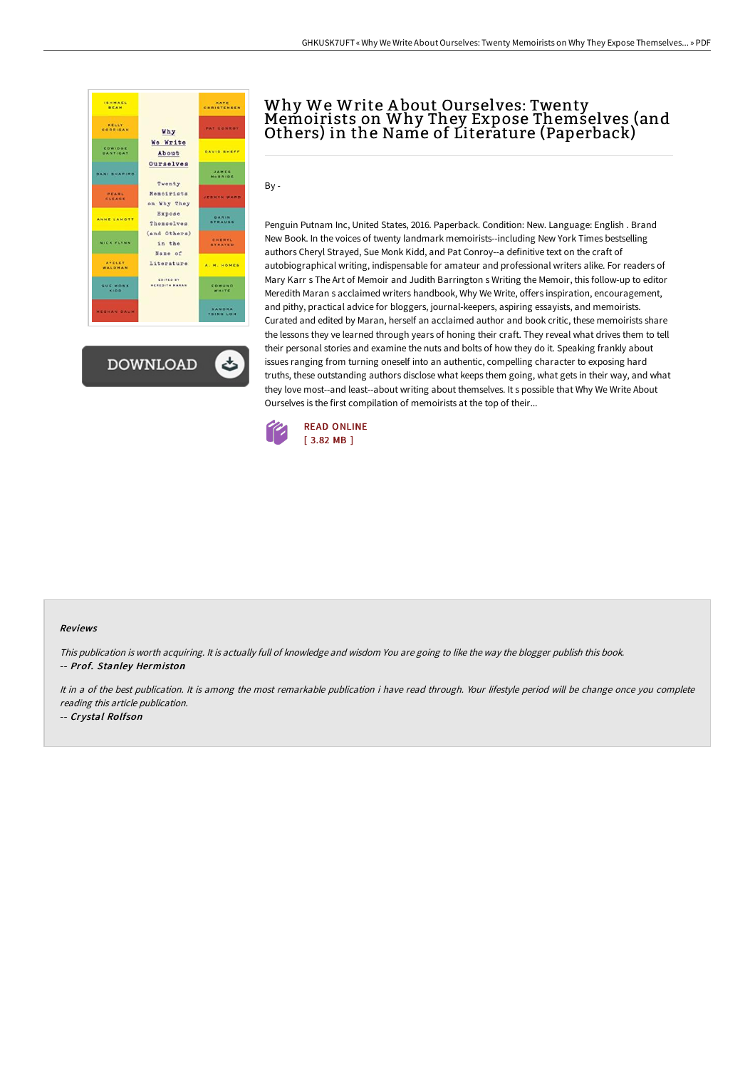

**DOWNLOAD** 

ٹ

## Why We Write About Ourselves: Twenty<br>Memoirists on Why They Expose Themselves (and Others) in the Name of Literature (Paperback)

By -

Penguin Putnam Inc, United States, 2016. Paperback. Condition: New. Language: English . Brand New Book. In the voices of twenty landmark memoirists--including New York Times bestselling authors Cheryl Strayed, Sue Monk Kidd, and Pat Conroy--a definitive text on the craft of autobiographical writing, indispensable for amateur and professional writers alike. For readers of Mary Karr s The Art of Memoir and Judith Barrington s Writing the Memoir, this follow-up to editor Meredith Maran s acclaimed writers handbook, Why We Write, offers inspiration, encouragement, and pithy, practical advice for bloggers, journal-keepers, aspiring essayists, and memoirists. Curated and edited by Maran, herself an acclaimed author and book critic, these memoirists share the lessons they ve learned through years of honing their craft. They reveal what drives them to tell their personal stories and examine the nuts and bolts of how they do it. Speaking frankly about issues ranging from turning oneself into an authentic, compelling character to exposing hard truths, these outstanding authors disclose what keeps them going, what gets in their way, and what they love most--and least--about writing about themselves. It s possible that Why We Write About Ourselves is the first compilation of memoirists at the top of their...



## Reviews

This publication is worth acquiring. It is actually full of knowledge and wisdom You are going to like the way the blogger publish this book. -- Prof. Stanley Hermiston

It in a of the best publication. It is among the most remarkable publication i have read through. Your lifestyle period will be change once you complete reading this article publication.

-- Crystal Rolfson